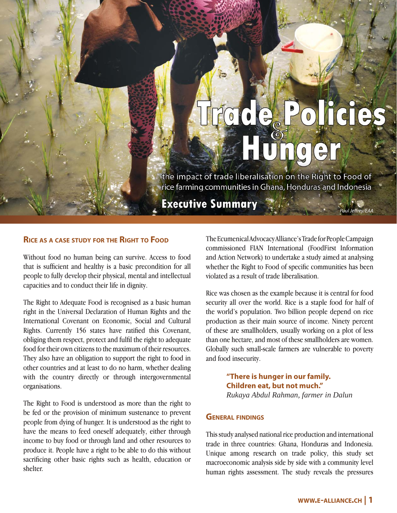# $\mathbf{C} \mathbf{\Theta}_{\mathbf{e}}$  $\Omega$  $\overline{0}$ nae

the impact of trade liberalisation on the Right to Food of rice farming communities in Ghana, Honduras and Indonesia

**Executive Summary** 

## **RICE AS <sup>A</sup> CASE STUDY FOR THE RIGHT TO FOOD**

Without food no human being can survive. Access to food that is sufficient and healthy is a basic precondition for all people to fully develop their physical, mental and intellectual capacities and to conduct their life in dignity.

The Right to Adequate Food is recognised as a basic human right in the Universal Declaration of Human Rights and the International Covenant on Economic, Social and Cultural Rights. Currently 156 states have ratified this Covenant, obliging them respect, protect and fulfil the right to adequate food for their own citizens to the maximum of their resources. They also have an obligation to support the right to food in other countries and at least to do no harm, whether dealing with the country directly or through intergovernmental organisations.

The Right to Food is understood as more than the right to be fed or the provision of minimum sustenance to prevent people from dying of hunger. It is understood as the right to have the means to feed oneself adequately, either through income to buy food or through land and other resources to produce it. People have a right to be able to do this without sacrificing other basic rights such as health, education or shelter.

The Ecumenical Advocacy Alliance's Trade for People Campaign commissioned FIAN International (FoodFirst Information and Action Network) to undertake a study aimed at analysing whether the Right to Food of specific communities has been violated as a result of trade liberalisation.

Paul Jeffrey/EAA

Rice was chosen as the example because it is central for food security all over the world. Rice is a staple food for half of the world's population. Two billion people depend on rice production as their main source of income. Ninety percent of these are smallholders, usually working on a plot of less than one hectare, and most of these smallholders are women. Globally such small-scale farmers are vulnerable to poverty and food insecurity.

> **"There is hunger in our family. Children eat, but not much."** *Rukaya Abdul Rahman, farmer in Dalun*

#### **GENERAL FINDINGS**

This study analysed national rice production and international trade in three countries: Ghana, Honduras and Indonesia. Unique among research on trade policy, this study set macroeconomic analysis side by side with a community level human rights assessment. The study reveals the pressures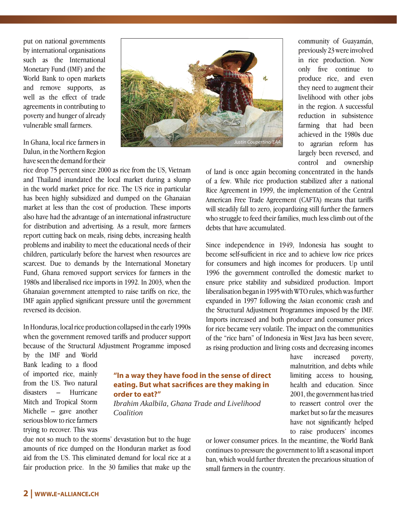put on national governments by international organisations such as the International Monetary Fund (IMF) and the World Bank to open markets and remove supports, as well as the effect of trade agreements in contributing to poverty and hunger of already vulnerable small farmers.

In Ghana, local rice farmers in Dalun, in the Northern Region have seen the demand for their

rice drop 75 percent since 2000 as rice from the US, Vietnam and Thailand inundated the local market during a slump in the world market price for rice. The US rice in particular has been highly subsidized and dumped on the Ghanaian market at less than the cost of production. These imports also have had the advantage of an international infrastructure for distribution and advertising. As a result, more farmers report cutting back on meals, rising debts, increasing health problems and inability to meet the educational needs of their children, particularly before the harvest when resources are scarcest. Due to demands by the International Monetary Fund, Ghana removed support services for farmers in the 1980s and liberalised rice imports in 1992. In 2003, when the Ghanaian government attempted to raise tariffs on rice, the IMF again applied significant pressure until the government reversed its decision.

In Honduras, local rice production collapsed in the early 1990s when the government removed tariffs and producer support because of the Structural Adjustment Programme imposed

by the IMF and World Bank leading to a flood of imported rice, mainly from the US. Two natural disasters – Hurricane Mitch and Tropical Storm Michelle – gave another serious blow to rice farmers trying to recover. This was



community of Guayamán, previously 23 were involved in rice production. Now only five continue to produce rice, and even they need to augment their livelihood with other jobs in the region. A successful reduction in subsistence farming that had been achieved in the 1980s due to agrarian reform has largely been reversed, and control and ownership

of land is once again becoming concentrated in the hands of a few. While rice production stabilized after a national Rice Agreement in 1999, the implementation of the Central American Free Trade Agreement (CAFTA) means that tariffs will steadily fall to zero, jeopardizing still further the farmers who struggle to feed their families, much less climb out of the debts that have accumulated.

Since independence in 1949, Indonesia has sought to become self-sufficient in rice and to achieve low rice prices for consumers and high incomes for producers. Up until 1996 the government controlled the domestic market to ensure price stability and subsidized production. Import liberalisation began in 1995 with WTO rules, which was further expanded in 1997 following the Asian economic crash and the Structural Adjustment Programmes imposed by the IMF. Imports increased and both producer and consumer prices for rice became very volatile. The impact on the communities of the "rice barn" of Indonesia in West Java has been severe, as rising production and living costs and decreasing incomes

### **"In a way they have food in the sense of direct eating. But what sacrifices are they making in order to eat?"**

*Ibrahim Akalbila, Ghana Trade and Livelihood Coalition*

due not so much to the storms' devastation but to the huge amounts of rice dumped on the Honduran market as food aid from the US. This eliminated demand for local rice at a fair production price. In the 30 families that make up the

have increased poverty, malnutrition, and debts while limiting access to housing, health and education. Since 2001, the government has tried to reassert control over the market but so far the measures have not significantly helped to raise producers' incomes

or lower consumer prices. In the meantime, the World Bank continues to pressure the government to lift a seasonal import ban, which would further threaten the precarious situation of small farmers in the country.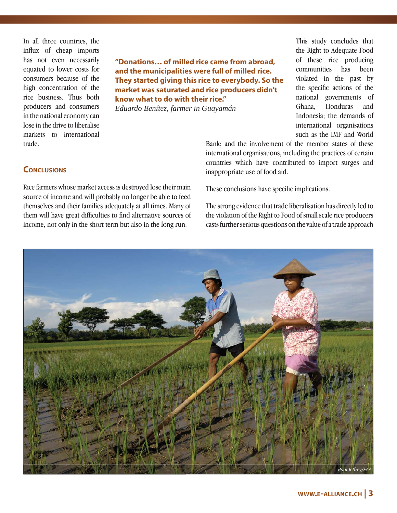In all three countries, the influx of cheap imports has not even necessarily equated to lower costs for consumers because of the high concentration of the rice business. Thus both producers and consumers in the national economy can lose in the drive to liberalise markets to international trade.

**"Donations… of milled rice came from abroad, and the municipalities were full of milled rice. They started giving this rice to everybody. So the market was saturated and rice producers didn't know what to do with their rice."**

*Eduardo Benítez, farmer in Guayamán*

This study concludes that the Right to Adequate Food of these rice producing communities has been violated in the past by the specific actions of the national governments of Ghana, Honduras and Indonesia; the demands of international organisations such as the IMF and World

**CONCLUSIONS** 

Rice farmers whose market access is destroyed lose their main source of income and will probably no longer be able to feed themselves and their families adequately at all times. Many of them will have great difficulties to find alternative sources of income, not only in the short term but also in the long run.

Bank; and the involvement of the member states of these international organisations, including the practices of certain countries which have contributed to import surges and inappropriate use of food aid.

These conclusions have specific implications.

The strong evidence that trade liberalisation has directly led to the violation of the Right to Food of small scale rice producers casts further serious questions on the value of a trade approach